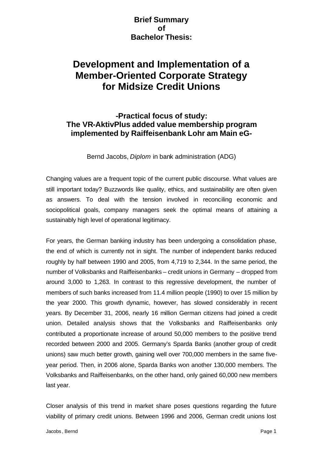## **Brief Summary of Bachelor Thesis:**

## **Development and Implementation of a Member-Oriented Corporate Strategy for Midsize Credit Unions**

## **-Practical focus of study: The VR-AktivPlus added value membership program implemented by Raiffeisenbank Lohr am Main eG-**

Bernd Jacobs, *Diplom* in bank administration (ADG)

Changing values are a frequent topic of the current public discourse. What values are still important today? Buzzwords like quality, ethics, and sustainability are often given as answers. To deal with the tension involved in reconciling economic and sociopolitical goals, company managers seek the optimal means of attaining a sustainably high level of operational legitimacy.

For years, the German banking industry has been undergoing a consolidation phase, the end of which is currently not in sight. The number of independent banks reduced roughly by half between 1990 and 2005, from 4,719 to 2,344. In the same period, the number of Volksbanks and Raiffeisenbanks – credit unions in Germany – dropped from around 3,000 to 1,263. In contrast to this regressive development, the number of members of such banks increased from 11.4 million people (1990) to over 15 million by the year 2000. This growth dynamic, however, has slowed considerably in recent years. By December 31, 2006, nearly 16 million German citizens had joined a credit union. Detailed analysis shows that the Volksbanks and Raiffeisenbanks only contributed a proportionate increase of around 50,000 members to the positive trend recorded between 2000 and 2005. Germany's Sparda Banks (another group of credit unions) saw much better growth, gaining well over 700,000 members in the same fiveyear period. Then, in 2006 alone, Sparda Banks won another 130,000 members. The Volksbanks and Raiffeisenbanks, on the other hand, only gained 60,000 new members last year.

Closer analysis of this trend in market share poses questions regarding the future viability of primary credit unions. Between 1996 and 2006, German credit unions lost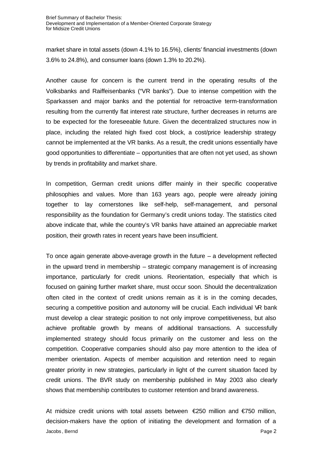market share in total assets (down 4.1% to 16.5%), clients' financial investments (down 3.6% to 24.8%), and consumer loans (down 1.3% to 20.2%).

Another cause for concern is the current trend in the operating results of the Volksbanks and Raiffeisenbanks ("VR banks"). Due to intense competition with the Sparkassen and major banks and the potential for retroactive term-transformation resulting from the currently flat interest rate structure, further decreases in returns are to be expected for the foreseeable future. Given the decentralized structures now in place, including the related high fixed cost block, a cost/price leadership strategy cannot be implemented at the VR banks. As a result, the credit unions essentially have good opportunities to differentiate – opportunities that are often not yet used, as shown by trends in profitability and market share.

In competition, German credit unions differ mainly in their specific cooperative philosophies and values. More than 163 years ago, people were already joining together to lay cornerstones like self-help, self-management, and personal responsibility as the foundation for Germany's credit unions today. The statistics cited above indicate that, while the country's VR banks have attained an appreciable market position, their growth rates in recent years have been insufficient.

To once again generate above-average growth in the future  $-$  a development reflected in the upward trend in membership – strategic company management is of increasing importance, particularly for credit unions. Reorientation, especially that which is focused on gaining further market share, must occur soon. Should the decentralization often cited in the context of credit unions remain as it is in the coming decades, securing a competitive position and autonomy will be crucial. Each individual VR bank must develop a clear strategic position to not only improve competitiveness, but also achieve profitable growth by means of additional transactions. A successfully implemented strategy should focus primarily on the customer and less on the competition. Cooperative companies should also pay more attention to the idea of member orientation. Aspects of member acquisition and retention need to regain greater priority in new strategies, particularly in light of the current situation faced by credit unions. The BVR study on membership published in May 2003 also clearly shows that membership contributes to customer retention and brand awareness.

Jacobs, Bernd Page 2 At midsize credit unions with total assets between  $\epsilon$ 250 million and  $\epsilon$ 750 million, decision-makers have the option of initiating the development and formation of a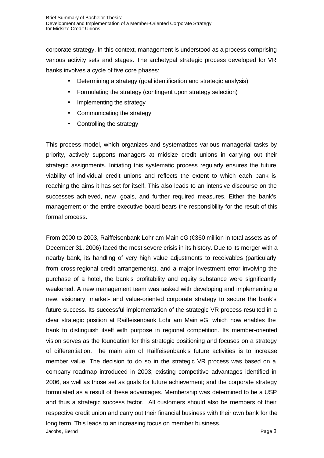corporate strategy. In this context, management is understood as a process comprising various activity sets and stages. The archetypal strategic process developed for VR banks involves a cycle of five core phases:

- Determining a strategy (goal identification and strategic analysis)
- Formulating the strategy (contingent upon strategy selection)
- Implementing the strategy
- Communicating the strategy
- Controlling the strategy

This process model, which organizes and systematizes various managerial tasks by priority, actively supports managers at midsize credit unions in carrying out their strategic assignments. Initiating this systematic process regularly ensures the future viability of individual credit unions and reflects the extent to which each bank is reaching the aims it has set for itself. This also leads to an intensive discourse on the successes achieved, new goals, and further required measures. Either the bank's management or the entire executive board bears the responsibility for the result of this formal process.

Jacobs, Bernd Page 3 From 2000 to 2003, Raiffeisenbank Lohr am Main eG (€360 million in total assets as of December 31, 2006) faced the most severe crisis in its history. Due to its merger with a nearby bank, its handling of very high value adjustments to receivables (particularly from cross-regional credit arrangements), and a major investment error involving the purchase of a hotel, the bank's profitability and equity substance were significantly weakened. A new management team was tasked with developing and implementing a new, visionary, market- and value-oriented corporate strategy to secure the bank's future success. Its successful implementation of the strategic VR process resulted in a clear strategic position at Raiffeisenbank Lohr am Main eG, which now enables the bank to distinguish itself with purpose in regional competition. Its member-oriented vision serves as the foundation for this strategic positioning and focuses on a strategy of differentiation. The main aim of Raiffeisenbank's future activities is to increase member value. The decision to do so in the strategic VR process was based on a company roadmap introduced in 2003; existing competitive advantages identified in 2006, as well as those set as goals for future achievement; and the corporate strategy formulated as a result of these advantages. Membership was determined to be a USP and thus a strategic success factor. All customers should also be members of their respective credit union and carry out their financial business with their own bank for the long term. This leads to an increasing focus on member business.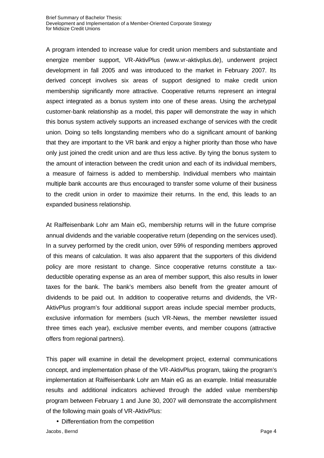A program intended to increase value for credit union members and substantiate and energize member support, VR-AktivPlus (www.vr-aktivplus.de), underwent project development in fall 2005 and was introduced to the market in February 2007. Its derived concept involves six areas of support designed to make credit union membership significantly more attractive. Cooperative returns represent an integral aspect integrated as a bonus system into one of these areas. Using the archetypal customer-bank relationship as a model, this paper will demonstrate the way in which this bonus system actively supports an increased exchange of services with the credit union. Doing so tells longstanding members who do a significant amount of banking that they are important to the VR bank and enjoy a higher priority than those who have only just joined the credit union and are thus less active. By tying the bonus system to the amount of interaction between the credit union and each of its individual members, a measure of fairness is added to membership. Individual members who maintain multiple bank accounts are thus encouraged to transfer some volume of their business to the credit union in order to maximize their returns. In the end, this leads to an expanded business relationship.

At Raiffeisenbank Lohr am Main eG, membership returns will in the future comprise annual dividends and the variable cooperative return (depending on the services used). In a survey performed by the credit union, over 59% of responding members approved of this means of calculation. It was also apparent that the supporters of this dividend policy are more resistant to change. Since cooperative returns constitute a taxdeductible operating expense as an area of member support, this also results in lower taxes for the bank. The bank's members also benefit from the greater amount of dividends to be paid out. In addition to cooperative returns and dividends, the VR-AktivPlus program's four additional support areas include special member products, exclusive information for members (such VR-News, the member newsletter issued three times each year), exclusive member events, and member coupons (attractive offers from regional partners).

This paper will examine in detail the development project, external communications concept, and implementation phase of the VR-AktivPlus program, taking the program's implementation at Raiffeisenbank Lohr am Main eG as an example. Initial measurable results and additional indicators achieved through the added value membership program between February 1 and June 30, 2007 will demonstrate the accomplishment of the following main goals of VR-AktivPlus:

Jacobs, Bernd Page 4 • Differentiation from the competition